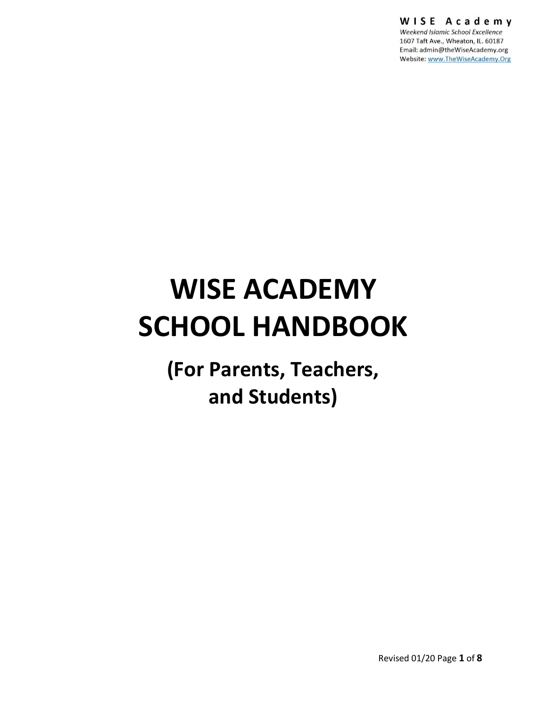WISE Academy

Weekend Islamic School Excellence 1607 Taft Ave., Wheaton, IL. 60187 Email: admin@theWiseAcademy.org Website: www.TheWiseAcademy.Org

# **WISE ACADEMY SCHOOL HANDBOOK**

**(For Parents, Teachers, and Students)**

Revised 01/20 Page **1** of **8**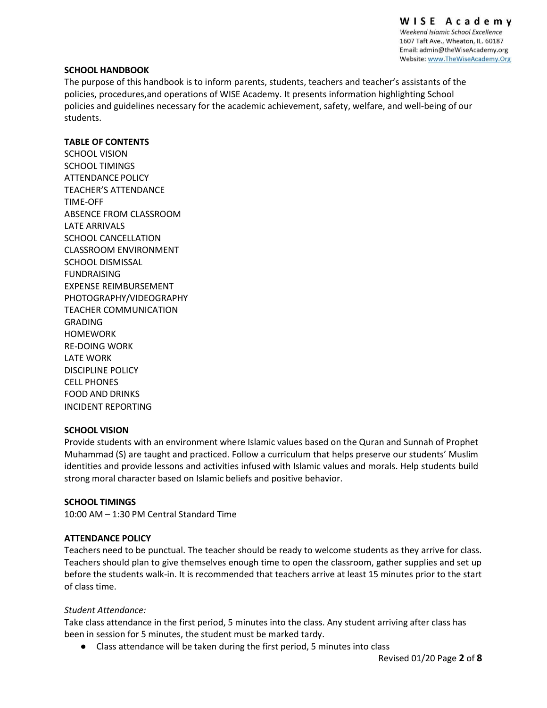WISE Academy Weekend Islamic School Excellence 1607 Taft Ave., Wheaton, IL. 60187 Email: admin@theWiseAcademy.org Website: www.TheWiseAcademy.Org

#### **SCHOOL HANDBOOK**

The purpose of this handbook is to inform parents, students, teachers and teacher's assistants of the policies, procedures,and operations of WISE Academy. It presents information highlighting School policies and guidelines necessary for the academic achievement, safety, welfare, and well-being of our students.

#### **TABLE OF CONTENTS**

SCHOOL VISION SCHOOL TIMINGS ATTENDANCE POLICY TEACHER'S ATTENDANCE TIME-OFF ABSENCE FROM CLASSROOM LATE ARRIVALS SCHOOL CANCELLATION CLASSROOM ENVIRONMENT SCHOOL DISMISSAL FUNDRAISING EXPENSE REIMBURSEMENT PHOTOGRAPHY/VIDEOGRAPHY TEACHER COMMUNICATION GRADING HOMEWORK RE-DOING WORK LATE WORK DISCIPLINE POLICY CELL PHONES FOOD AND DRINKS INCIDENT REPORTING

#### **SCHOOL VISION**

Provide students with an environment where Islamic values based on the Quran and Sunnah of Prophet Muhammad (S) are taught and practiced. Follow a curriculum that helps preserve our students' Muslim identities and provide lessons and activities infused with Islamic values and morals. Help students build strong moral character based on Islamic beliefs and positive behavior.

#### **SCHOOL TIMINGS**

10:00 AM – 1:30 PM Central Standard Time

#### **ATTENDANCE POLICY**

Teachers need to be punctual. The teacher should be ready to welcome students as they arrive for class. Teachers should plan to give themselves enough time to open the classroom, gather supplies and set up before the students walk-in. It is recommended that teachers arrive at least 15 minutes prior to the start of class time.

#### *Student Attendance:*

Take class attendance in the first period, 5 minutes into the class. Any student arriving after class has been in session for 5 minutes, the student must be marked tardy.

● Class attendance will be taken during the first period, 5 minutes into class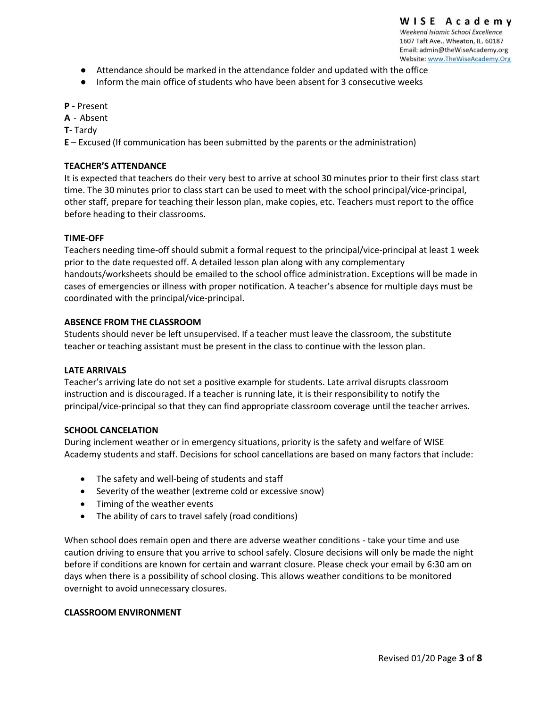- Attendance should be marked in the attendance folder and updated with the office
- Inform the main office of students who have been absent for 3 consecutive weeks

**P -** Present

- **A**  Absent
- **T** Tardy

**E** – Excused (If communication has been submitted by the parents or the administration)

#### **TEACHER'S ATTENDANCE**

It is expected that teachers do their very best to arrive at school 30 minutes prior to their first class start time. The 30 minutes prior to class start can be used to meet with the school principal/vice-principal, other staff, prepare for teaching their lesson plan, make copies, etc. Teachers must report to the office before heading to their classrooms.

#### **TIME-OFF**

Teachers needing time-off should submit a formal request to the principal/vice-principal at least 1 week prior to the date requested off. A detailed lesson plan along with any complementary handouts/worksheets should be emailed to the school office administration. Exceptions will be made in cases of emergencies or illness with proper notification. A teacher's absence for multiple days must be coordinated with the principal/vice-principal.

#### **ABSENCE FROM THE CLASSROOM**

Students should never be left unsupervised. If a teacher must leave the classroom, the substitute teacher or teaching assistant must be present in the class to continue with the lesson plan.

#### **LATE ARRIVALS**

Teacher's arriving late do not set a positive example for students. Late arrival disrupts classroom instruction and is discouraged. If a teacher is running late, it is their responsibility to notify the principal/vice-principal so that they can find appropriate classroom coverage until the teacher arrives.

#### **SCHOOL CANCELATION**

During inclement weather or in emergency situations, priority is the safety and welfare of WISE Academy students and staff. Decisions for school cancellations are based on many factors that include:

- The safety and well-being of students and staff
- Severity of the weather (extreme cold or excessive snow)
- Timing of the weather events
- The ability of cars to travel safely (road conditions)

When school does remain open and there are adverse weather conditions - take your time and use caution driving to ensure that you arrive to school safely. Closure decisions will only be made the night before if conditions are known for certain and warrant closure. Please check your email by 6:30 am on days when there is a possibility of school closing. This allows weather conditions to be monitored overnight to avoid unnecessary closures.

#### **CLASSROOM ENVIRONMENT**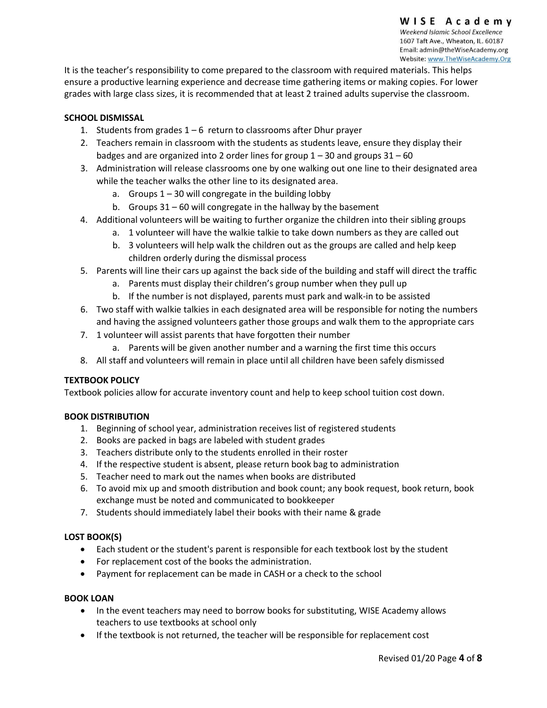It is the teacher's responsibility to come prepared to the classroom with required materials. This helps ensure a productive learning experience and decrease time gathering items or making copies. For lower grades with large class sizes, it is recommended that at least 2 trained adults supervise the classroom.

## **SCHOOL DISMISSAL**

- 1. Students from grades  $1 6$  return to classrooms after Dhur prayer
- 2. Teachers remain in classroom with the students as students leave, ensure they display their badges and are organized into 2 order lines for group  $1 - 30$  and groups  $31 - 60$
- 3. Administration will release classrooms one by one walking out one line to their designated area while the teacher walks the other line to its designated area.
	- a. Groups  $1 30$  will congregate in the building lobby
	- b. Groups 31 60 will congregate in the hallway by the basement
- 4. Additional volunteers will be waiting to further organize the children into their sibling groups
	- a. 1 volunteer will have the walkie talkie to take down numbers as they are called out
	- b. 3 volunteers will help walk the children out as the groups are called and help keep children orderly during the dismissal process
- 5. Parents will line their cars up against the back side of the building and staff will direct the traffic
	- a. Parents must display their children's group number when they pull up
	- b. If the number is not displayed, parents must park and walk-in to be assisted
- 6. Two staff with walkie talkies in each designated area will be responsible for noting the numbers and having the assigned volunteers gather those groups and walk them to the appropriate cars
- 7. 1 volunteer will assist parents that have forgotten their number
	- a. Parents will be given another number and a warning the first time this occurs
- 8. All staff and volunteers will remain in place until all children have been safely dismissed

#### **TEXTBOOK POLICY**

Textbook policies allow for accurate inventory count and help to keep school tuition cost down.

#### **BOOK DISTRIBUTION**

- 1. Beginning of school year, administration receives list of registered students
- 2. Books are packed in bags are labeled with student grades
- 3. Teachers distribute only to the students enrolled in their roster
- 4. If the respective student is absent, please return book bag to administration
- 5. Teacher need to mark out the names when books are distributed
- 6. To avoid mix up and smooth distribution and book count; any book request, book return, book exchange must be noted and communicated to bookkeeper
- 7. Students should immediately label their books with their name & grade

#### **LOST BOOK(S)**

- Each student or the student's parent is responsible for each textbook lost by the student
- For replacement cost of the books the administration.
- Payment for replacement can be made in CASH or a check to the school

#### **BOOK LOAN**

- In the event teachers may need to borrow books for substituting, WISE Academy allows teachers to use textbooks at school only
- If the textbook is not returned, the teacher will be responsible for replacement cost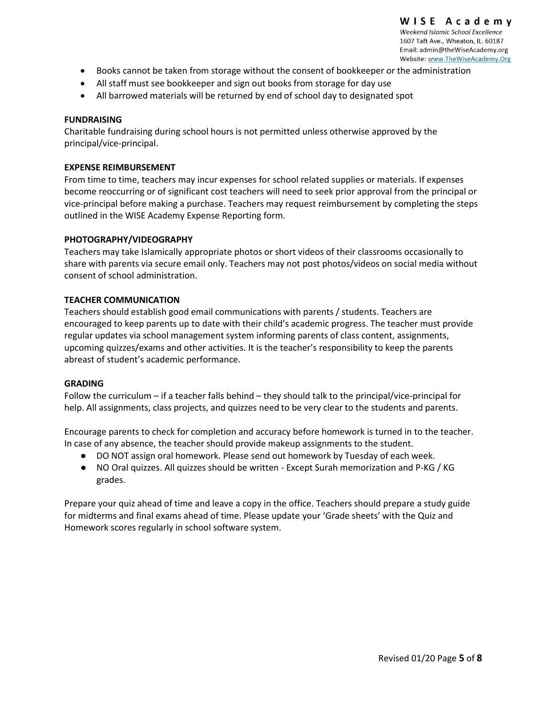- Books cannot be taken from storage without the consent of bookkeeper or the administration
- All staff must see bookkeeper and sign out books from storage for day use
- All barrowed materials will be returned by end of school day to designated spot

#### **FUNDRAISING**

Charitable fundraising during school hours is not permitted unless otherwise approved by the principal/vice-principal.

#### **EXPENSE REIMBURSEMENT**

From time to time, teachers may incur expenses for school related supplies or materials. If expenses become reoccurring or of significant cost teachers will need to seek prior approval from the principal or vice-principal before making a purchase. Teachers may request reimbursement by completing the steps outlined in the WISE Academy Expense Reporting form.

#### **PHOTOGRAPHY/VIDEOGRAPHY**

Teachers may take Islamically appropriate photos or short videos of their classrooms occasionally to share with parents via secure email only. Teachers may not post photos/videos on social media without consent of school administration.

#### **TEACHER COMMUNICATION**

Teachers should establish good email communications with parents / students. Teachers are encouraged to keep parents up to date with their child's academic progress. The teacher must provide regular updates via school management system informing parents of class content, assignments, upcoming quizzes/exams and other activities. It is the teacher's responsibility to keep the parents abreast of student's academic performance.

#### **GRADING**

Follow the curriculum – if a teacher falls behind – they should talk to the principal/vice-principal for help. All assignments, class projects, and quizzes need to be very clear to the students and parents.

Encourage parents to check for completion and accuracy before homework is turned in to the teacher. In case of any absence, the teacher should provide makeup assignments to the student.

- DO NOT assign oral homework. Please send out homework by Tuesday of each week.
- NO Oral quizzes. All quizzes should be written Except Surah memorization and P-KG / KG grades.

Prepare your quiz ahead of time and leave a copy in the office. Teachers should prepare a study guide for midterms and final exams ahead of time. Please update your 'Grade sheets' with the Quiz and Homework scores regularly in school software system.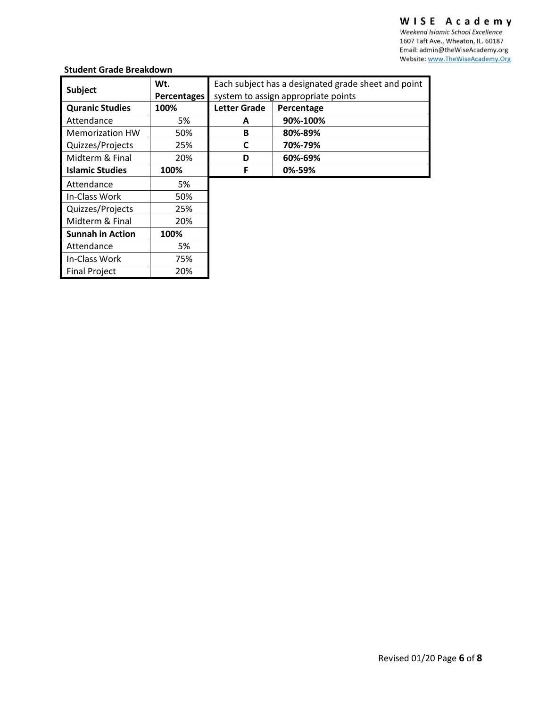# WISE Academy

Weekend Islamic School Excellence 1607 Taft Ave., Wheaton, IL. 60187 Email: admin@theWiseAcademy.org Website: www.TheWiseAcademy.Org

# **Student Grade Breakdown**

| oluuciil oruuc preunuowii |                    |                                                     |            |  |
|---------------------------|--------------------|-----------------------------------------------------|------------|--|
|                           | Wt.                | Each subject has a designated grade sheet and point |            |  |
| <b>Subject</b>            | <b>Percentages</b> | system to assign appropriate points                 |            |  |
| <b>Quranic Studies</b>    | 100%               | <b>Letter Grade</b>                                 | Percentage |  |
| Attendance                | 5%                 | A                                                   | 90%-100%   |  |
| <b>Memorization HW</b>    | 50%                | B                                                   | 80%-89%    |  |
| Quizzes/Projects          | 25%                | C                                                   | 70%-79%    |  |
| Midterm & Final           | 20%                | D                                                   | 60%-69%    |  |
| <b>Islamic Studies</b>    | 100%               | F                                                   | 0%-59%     |  |
| Attendance                | 5%                 |                                                     |            |  |
| In-Class Work             | 50%                |                                                     |            |  |
| Quizzes/Projects          | 25%                |                                                     |            |  |
| Midterm & Final           | 20%                |                                                     |            |  |
| <b>Sunnah in Action</b>   | 100%               |                                                     |            |  |
| Attendance                | 5%                 |                                                     |            |  |
| In-Class Work             | 75%                |                                                     |            |  |
| <b>Final Project</b>      | 20%                |                                                     |            |  |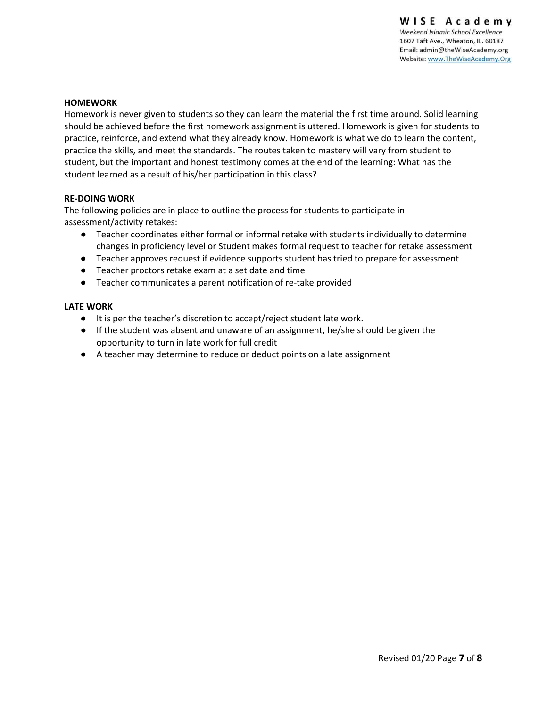#### **HOMEWORK**

Homework is never given to students so they can learn the material the first time around. Solid learning should be achieved before the first homework assignment is uttered. Homework is given for students to practice, reinforce, and extend what they already know. Homework is what we do to learn the content, practice the skills, and meet the standards. The routes taken to mastery will vary from student to student, but the important and honest testimony comes at the end of the learning: What has the student learned as a result of his/her participation in this class?

#### **RE-DOING WORK**

The following policies are in place to outline the process for students to participate in assessment/activity retakes:

- Teacher coordinates either formal or informal retake with students individually to determine changes in proficiency level or Student makes formal request to teacher for retake assessment
- Teacher approves request if evidence supports student has tried to prepare for assessment
- Teacher proctors retake exam at a set date and time
- Teacher communicates a parent notification of re-take provided

#### **LATE WORK**

- It is per the teacher's discretion to accept/reject student late work.
- If the student was absent and unaware of an assignment, he/she should be given the opportunity to turn in late work for full credit
- A teacher may determine to reduce or deduct points on a late assignment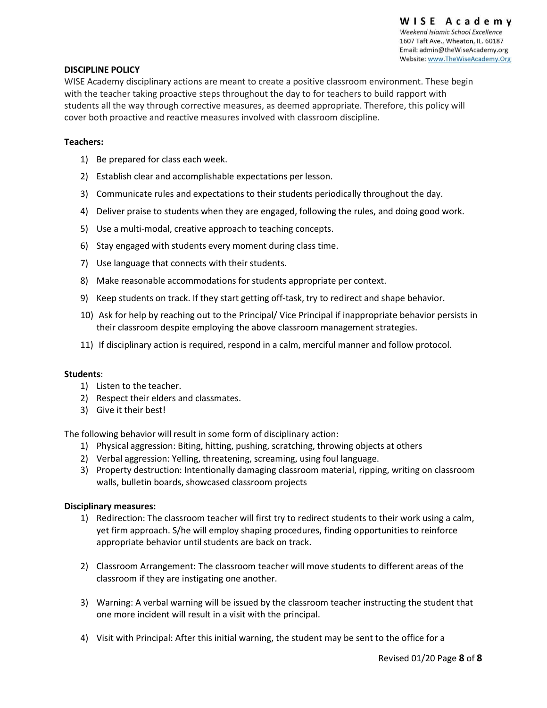#### **DISCIPLINE POLICY**

WISE Academy disciplinary actions are meant to create a positive classroom environment. These begin with the teacher taking proactive steps throughout the day to for teachers to build rapport with students all the way through corrective measures, as deemed appropriate. Therefore, this policy will cover both proactive and reactive measures involved with classroom discipline.

#### **Teachers:**

- 1) Be prepared for class each week.
- 2) Establish clear and accomplishable expectations per lesson.
- 3) Communicate rules and expectations to their students periodically throughout the day.
- 4) Deliver praise to students when they are engaged, following the rules, and doing good work.
- 5) Use a multi-modal, creative approach to teaching concepts.
- 6) Stay engaged with students every moment during class time.
- 7) Use language that connects with their students.
- 8) Make reasonable accommodations for students appropriate per context.
- 9) Keep students on track. If they start getting off-task, try to redirect and shape behavior.
- 10) Ask for help by reaching out to the Principal/ Vice Principal if inappropriate behavior persists in their classroom despite employing the above classroom management strategies.
- 11) If disciplinary action is required, respond in a calm, merciful manner and follow protocol.

#### **Students**:

- 1) Listen to the teacher.
- 2) Respect their elders and classmates.
- 3) Give it their best!

The following behavior will result in some form of disciplinary action:

- 1) Physical aggression: Biting, hitting, pushing, scratching, throwing objects at others
- 2) Verbal aggression: Yelling, threatening, screaming, using foul language.
- 3) Property destruction: Intentionally damaging classroom material, ripping, writing on classroom walls, bulletin boards, showcased classroom projects

#### **Disciplinary measures:**

- 1) Redirection: The classroom teacher will first try to redirect students to their work using a calm, yet firm approach. S/he will employ shaping procedures, finding opportunities to reinforce appropriate behavior until students are back on track.
- 2) Classroom Arrangement: The classroom teacher will move students to different areas of the classroom if they are instigating one another.
- 3) Warning: A verbal warning will be issued by the classroom teacher instructing the student that one more incident will result in a visit with the principal.
- 4) Visit with Principal: After this initial warning, the student may be sent to the office for a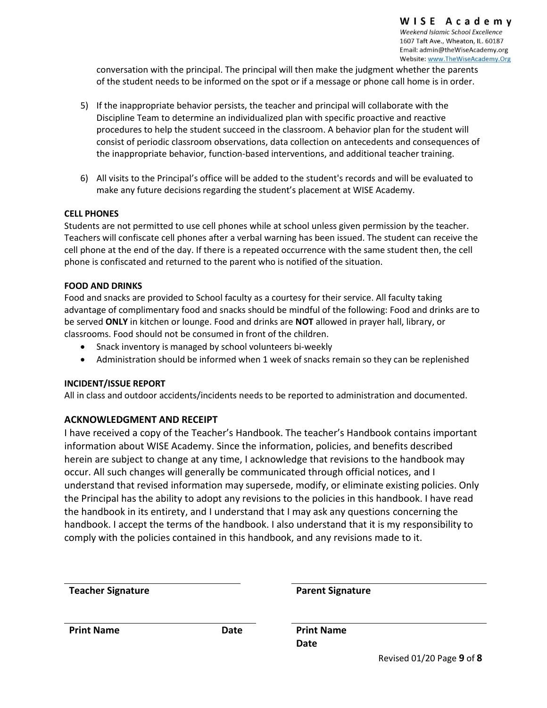conversation with the principal. The principal will then make the judgment whether the parents of the student needs to be informed on the spot or if a message or phone call home is in order.

- 5) If the inappropriate behavior persists, the teacher and principal will collaborate with the Discipline Team to determine an individualized plan with specific proactive and reactive procedures to help the student succeed in the classroom. A behavior plan for the student will consist of periodic classroom observations, data collection on antecedents and consequences of the inappropriate behavior, function-based interventions, and additional teacher training.
- 6) All visits to the Principal's office will be added to the student's records and will be evaluated to make any future decisions regarding the student's placement at WISE Academy.

## **CELL PHONES**

Students are not permitted to use cell phones while at school unless given permission by the teacher. Teachers will confiscate cell phones after a verbal warning has been issued. The student can receive the cell phone at the end of the day. If there is a repeated occurrence with the same student then, the cell phone is confiscated and returned to the parent who is notified of the situation.

## **FOOD AND DRINKS**

Food and snacks are provided to School faculty as a courtesy for their service. All faculty taking advantage of complimentary food and snacks should be mindful of the following: Food and drinks are to be served **ONLY** in kitchen or lounge. Food and drinks are **NOT** allowed in prayer hall, library, or classrooms. Food should not be consumed in front of the children.

- Snack inventory is managed by school volunteers bi-weekly
- Administration should be informed when 1 week of snacks remain so they can be replenished

#### **INCIDENT/ISSUE REPORT**

All in class and outdoor accidents/incidents needs to be reported to administration and documented.

# **ACKNOWLEDGMENT AND RECEIPT**

I have received a copy of the Teacher's Handbook. The teacher's Handbook contains important information about WISE Academy. Since the information, policies, and benefits described herein are subject to change at any time, I acknowledge that revisions to the handbook may occur. All such changes will generally be communicated through official notices, and I understand that revised information may supersede, modify, or eliminate existing policies. Only the Principal has the ability to adopt any revisions to the policies in this handbook. I have read the handbook in its entirety, and I understand that I may ask any questions concerning the handbook. I accept the terms of the handbook. I also understand that it is my responsibility to comply with the policies contained in this handbook, and any revisions made to it.

| <b>Teacher Signature</b> |      | <b>Parent Signature</b>   |
|--------------------------|------|---------------------------|
| <b>Print Name</b>        | Date | <b>Print Name</b>         |
|                          |      | Date                      |
|                          |      | Revised 01/20 Page 9 of 8 |